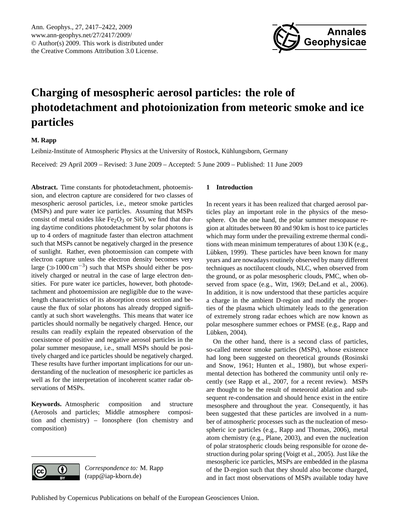

# <span id="page-0-0"></span>**Charging of mesospheric aerosol particles: the role of photodetachment and photoionization from meteoric smoke and ice particles**

# **M. Rapp**

Leibniz-Institute of Atmospheric Physics at the University of Rostock, Kühlungsborn, Germany

Received: 29 April 2009 – Revised: 3 June 2009 – Accepted: 5 June 2009 – Published: 11 June 2009

**Abstract.** Time constants for photodetachment, photoemission, and electron capture are considered for two classes of mesospheric aerosol particles, i.e., meteor smoke particles (MSPs) and pure water ice particles. Assuming that MSPs consist of metal oxides like  $Fe<sub>2</sub>O<sub>3</sub>$  or SiO, we find that during daytime conditions photodetachment by solar photons is up to 4 orders of magnitude faster than electron attachment such that MSPs cannot be negatively charged in the presence of sunlight. Rather, even photoemission can compete with electron capture unless the electron density becomes very large ( $\gg$ 1000 cm<sup>-3</sup>) such that MSPs should either be positively charged or neutral in the case of large electron densities. For pure water ice particles, however, both photodetachment and photoemission are negligible due to the wavelength characteristics of its absorption cross section and because the flux of solar photons has already dropped significantly at such short wavelengths. This means that water ice particles should normally be negatively charged. Hence, our results can readily explain the repeated observation of the coexistence of positive and negative aerosol particles in the polar summer mesopause, i.e., small MSPs should be positively charged and ice particles should be negatively charged. These results have further important implications for our understanding of the nucleation of mesospheric ice particles as well as for the interpretation of incoherent scatter radar observations of MSPs.

**Keywords.** Atmospheric composition and structure (Aerosols and particles; Middle atmosphere composition and chemistry) – Ionosphere (Ion chemistry and composition)



*Correspondence to:* M. Rapp (rapp@iap-kborn.de)

## **1 Introduction**

In recent years it has been realized that charged aerosol particles play an important role in the physics of the mesosphere. On the one hand, the polar summer mesopause region at altitudes between 80 and 90 km is host to ice particles which may form under the prevailing extreme thermal conditions with mean minimum temperatures of about 130 K (e.g., Lübken, [1999\)](#page-4-0). These particles have been known for many years and are nowadays routinely observed by many different techniques as noctilucent clouds, NLC, when observed from the ground, or as polar mesospheric clouds, PMC, when observed from space (e.g., [Witt,](#page-5-0) [1969;](#page-5-0) [DeLand et al.,](#page-4-1) [2006\)](#page-4-1). In addition, it is now understood that these particles acquire a charge in the ambient D-region and modify the properties of the plasma which ultimately leads to the generation of extremely strong radar echoes which are now known as polar mesosphere summer echoes or PMSE (e.g., [Rapp and](#page-5-1) Lübken, [2004\)](#page-5-1).

On the other hand, there is a second class of particles, so-called meteor smoke particles (MSPs), whose existence had long been suggested on theoretical grounds [\(Rosinski](#page-5-2) [and Snow,](#page-5-2) [1961;](#page-5-2) [Hunten et al.,](#page-4-2) [1980\)](#page-4-2), but whose experimental detection has bothered the community until only recently (see [Rapp et al.,](#page-5-3) [2007,](#page-5-3) for a recent review). MSPs are thought to be the result of meteoroid ablation and subsequent re-condensation and should hence exist in the entire mesosphere and throughout the year. Consequently, it has been suggested that these particles are involved in a number of atmospheric processes such as the nucleation of mesospheric ice particles (e.g., [Rapp and Thomas,](#page-5-4) [2006\)](#page-5-4), metal atom chemistry (e.g., [Plane,](#page-5-5) [2003\)](#page-5-5), and even the nucleation of polar stratospheric clouds being responsible for ozone destruction during polar spring [\(Voigt et al.,](#page-5-6) [2005\)](#page-5-6). Just like the mesospheric ice particles, MSPs are embedded in the plasma of the D-region such that they should also become charged, and in fact most observations of MSPs available today have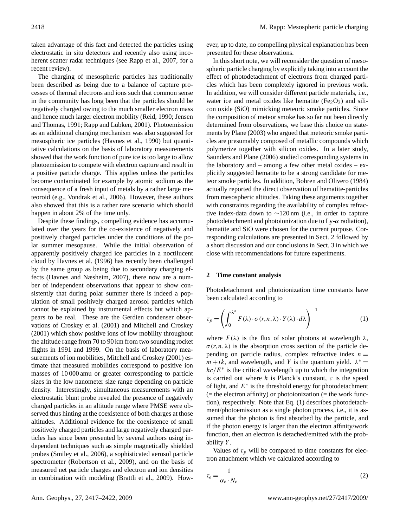taken advantage of this fact and detected the particles using electrostatic in situ detectors and recently also using inco-herent scatter radar techniques (see [Rapp et al.,](#page-5-3) [2007,](#page-5-3) for a recent review).

The charging of mesospheric particles has traditionally been described as being due to a balance of capture processes of thermal electrons and ions such that common sense in the community has long been that the particles should be negatively charged owing to the much smaller electron mass and hence much larger electron mobility [\(Reid,](#page-5-7) [1990;](#page-5-7) [Jensen](#page-4-3) [and Thomas,](#page-4-3) [1991;](#page-4-3) Rapp and Lübken, [2001\)](#page-5-8). Photoemission as an additional charging mechanism was also suggested for mesospheric ice particles [\(Havnes et al.,](#page-4-4) [1990\)](#page-4-4) but quantitative calculations on the basis of laboratory measurements showed that the work function of pure ice is too large to allow photoemission to compete with electron capture and result in a positive particle charge. This applies unless the particles become contaminated for example by atomic sodium as the consequence of a fresh input of metals by a rather large meteoroid (e.g., [Vondrak et al.,](#page-5-9) [2006\)](#page-5-9). However, these authors also showed that this is a rather rare scenario which should happen in about 2% of the time only.

Despite these findings, compelling evidence has accumulated over the years for the co-existence of negatively and positively charged particles under the conditions of the polar summer mesopause. While the initial observation of apparently positively charged ice particles in a noctilucent cloud by [Havnes et al.](#page-4-5) [\(1996\)](#page-4-5) has recently been challenged by the same group as being due to secondary charging effects [\(Havnes and Næsheim,](#page-4-6) [2007\)](#page-4-6), there now are a number of independent observations that appear to show consistently that during polar summer there is indeed a population of small positively charged aerosol particles which cannot be explained by instrumental effects but which appears to be real. These are the Gerdien condenser observations of [Croskey et al.](#page-4-7) [\(2001\)](#page-4-7) and [Mitchell and Croskey](#page-5-10) [\(2001\)](#page-5-10) which show positive ions of low mobility throughout the altitude range from 70 to 90 km from two sounding rocket flights in 1991 and 1999. On the basis of laboratory measurements of ion mobilities, [Mitchell and Croskey](#page-5-10) [\(2001\)](#page-5-10) estimate that measured mobilities correspond to positive ion masses of 10 000 amu or greater corresponding to particle sizes in the low nanometer size range depending on particle density. Interestingly, simultaneous measurements with an electrostatic blunt probe revealed the presence of negatively charged particles in an altitude range where PMSE were observed thus hinting at the coexistence of both charges at those altitudes. Additional evidence for the coexistence of small positively charged particles and large negatively charged particles has since been presented by several authors using independent techniques such as simple magnetically shielded probes [\(Smiley et al.,](#page-5-11) [2006\)](#page-5-11), a sophisticated aerosol particle spectrometer [\(Robertson et al.,](#page-5-12) [2009\)](#page-5-12), and on the basis of measured net particle charges and electron and ion densities in combination with modeling [\(Brattli et al.,](#page-4-8) [2009\)](#page-4-8). However, up to date, no compelling physical explanation has been presented for these observations.

In this short note, we will reconsider the question of mesospheric particle charging by explicitly taking into account the effect of photodetachment of electrons from charged particles which has been completely ignored in previous work. In addition, we will consider different particle materials, i.e., water ice and metal oxides like hematite ( $Fe<sub>2</sub>O<sub>3</sub>$ ) and silicon oxide (SiO) mimicking meteoric smoke particles. Since the composition of meteor smoke has so far not been directly determined from observations, we base this choice on statements by [Plane](#page-5-5) [\(2003\)](#page-5-5) who argued that meteoric smoke particles are presumably composed of metallic compounds which polymerize together with silicon oxides. In a later study, [Saunders and Plane](#page-5-13) [\(2006\)](#page-5-13) studied corresponding systems in the laboratory and – among a few other metal oxides –  $ex$ plicitly suggested hematite to be a strong candidate for meteor smoke particles. In addition, [Bohren and Olivero](#page-4-9) [\(1984\)](#page-4-9) actually reported the direct observation of hematite-particles from mesospheric altitudes. Taking these arguments together with constraints regarding the availability of complex refractive index-data down to ∼120 nm (i.e., in order to capture photodetachment and photoionization due to Ly-α radiation), hematite and SiO were chosen for the current purpose. Corresponding calculations are presented in Sect. [2](#page-1-0) followed by a short discussion and our conclusions in Sect. [3](#page-4-10) in which we close with recommendations for future experiments.

#### <span id="page-1-0"></span>**2 Time constant analysis**

Photodetachment and photoionization time constants have been calculated according to

<span id="page-1-1"></span>
$$
\tau_p = \left(\int_0^{\lambda^*} F(\lambda) \cdot \sigma(r, n, \lambda) \cdot Y(\lambda) \cdot d\lambda\right)^{-1} \tag{1}
$$

where  $F(\lambda)$  is the flux of solar photons at wavelength  $\lambda$ ,  $\sigma(r,n,\lambda)$  is the absorption cross section of the particle depending on particle radius, complex refractive index  $n =$  $m+ik$ , and wavelength, and Y is the quantum yield.  $\lambda^* =$  $hc/E^*$  is the critical wavelength up to which the integration is carried out where  $h$  is Planck's constant,  $c$  is the speed of light, and  $E^*$  is the threshold energy for photodetachment  $($  = the electron affinity) or photoionization  $($  = the work function), respectively. Note that Eq. [\(1\)](#page-1-1) describes photodetachment/photoemission as a single photon process, i.e., it is assumed that the photon is first absorbed by the particle, and if the photon energy is larger than the electron affinity/work function, then an electron is detached/emitted with the probability Y.

Values of  $\tau_p$  will be compared to time constants for electron attachment which we calculated according to

$$
\tau_e = \frac{1}{\alpha_e \cdot N_e} \tag{2}
$$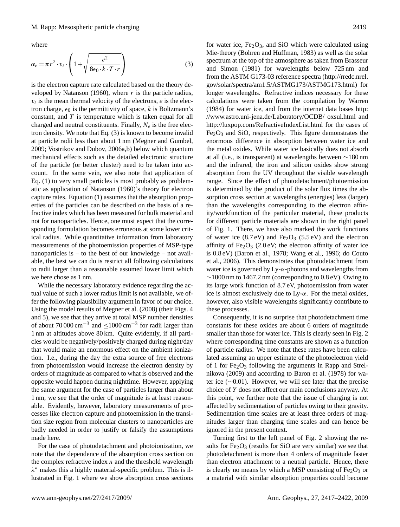where

<span id="page-2-0"></span>
$$
\alpha_e = \pi r^2 \cdot v_t \cdot \left( 1 + \sqrt{\frac{e^2}{8\epsilon_0 \cdot k \cdot T \cdot r}} \right) \tag{3}
$$

is the electron capture rate calculated based on the theory de-veloped by [Natanson](#page-5-14) [\(1960\)](#page-5-14), where  $r$  is the particle radius,  $v_t$  is the mean thermal velocity of the electrons,  $e$  is the electron charge,  $\epsilon_0$  is the permittivity of space, k is Boltzmann's constant, and  $T$  is temperature which is taken equal for all charged and neutral constituents. Finally,  $N_e$  is the free electron density. We note that Eq. [\(3\)](#page-2-0) is known to become invalid at particle radii less than about 1 nm [\(Megner and Gumbel,](#page-4-11) [2009;](#page-4-11) [Vostrikov and Dubov,](#page-5-15) [2006a](#page-5-15)[,b\)](#page-5-16) below which quantum mechanical effects such as the detailed electronic structure of the particle (or better cluster) need to be taken into account. In the same vein, we also note that application of Eq. [\(1\)](#page-1-1) to very small particles is most probably as problematic as application of [Natanson](#page-5-14) [\(1960\)](#page-5-14)'s theory for electron capture rates. Equation [\(1\)](#page-1-1) assumes that the absorption properties of the particles can be described on the basis of a refractive index which has been measured for bulk material and not for nanoparticles. Hence, one must expect that the corresponding formulation becomes erroneous at some lower critical radius. While quantitative information from laboratory measurements of the photoemission properties of MSP-type nanoparticles is – to the best of our knowledge – not available, the best we can do is restrict all following calculations to radii larger than a reasonable assumed lower limit which we here chose as 1 nm.

While the necessary laboratory evidence regarding the actual value of such a lower radius limit is not available, we offer the following plausibility argument in favor of our choice. Using the model results of [Megner et al.](#page-5-17) [\(2008\)](#page-5-17) (their Figs. 4 and 5), we see that they arrive at total MSP number densities of about  $70000 \text{ cm}^{-3}$  and  $\leq 1000 \text{ cm}^{-3}$  for radii larger than 1 nm at altitudes above 80 km. Quite evidently, if all particles would be negatively/positively charged during night/day that would make an enormous effect on the ambient ionization. I.e., during the day the extra source of free electrons from photoemission would increase the electron density by orders of magnitude as compared to what is observed and the opposite would happen during nighttime. However, applying the same argument for the case of particles larger than about 1 nm, we see that the order of magnitude is at least reasonable. Evidently, however, laboratory measurements of processes like electron capture and photoemission in the transition size region from molecular clusters to nanoparticles are badly needed in order to justify or falsify the assumptions made here.

For the case of photodetachment and photoionization, we note that the dependence of the absorption cross section on the complex refractive index  $n$  and the threshold wavelength λ <sup>∗</sup> makes this a highly material-specific problem. This is illustrated in Fig. [1](#page-3-0) where we show absorption cross sections for water ice,  $Fe<sub>2</sub>O<sub>3</sub>$ , and SiO which were calculated using Mie-theory [\(Bohren and Huffman,](#page-4-12) [1983\)](#page-4-12) as well as the solar spectrum at the top of the atmosphere as taken from [Brasseur](#page-4-13) [and Simon](#page-4-13) [\(1981\)](#page-4-13) for wavelengths below 725 nm and from the ASTM G173-03 reference spectra [\(http://rredc.nrel.](http://rredc.nrel.gov/solar/spectra/am1.5/ASTMG173/ASTMG173.html) [gov/solar/spectra/am1.5/ASTMG173/ASTMG173.html\)](http://rredc.nrel.gov/solar/spectra/am1.5/ASTMG173/ASTMG173.html) for longer wavelengths. Refractive indices necessary for these calculations were taken from the compilation by [Warren](#page-5-18) [\(1984\)](#page-5-18) for water ice, and from the internet data bases [http:](http://www.astro.uni-jena.de/Laboratory/OCDB/) [//www.astro.uni-jena.de/Laboratory/OCDB/](http://www.astro.uni-jena.de/Laboratory/OCDB/) oxsul.html and <http://luxpop.com/RefractiveIndexList.html> for the cases of  $Fe<sub>2</sub>O<sub>3</sub>$  and SiO, respectively. This figure demonstrates the enormous difference in absorption between water ice and the metal oxides. While water ice basically does not absorb at all (i.e., is transparent) at wavelengths between ∼180 nm and the infrared, the iron and silicon oxides show strong absorption from the UV throughout the visible wavelength range. Since the effect of photodetachment/photoemission is determined by the product of the solar flux times the absorption cross section at wavelengths (energies) less (larger) than the wavelengths corresponding to the electron affinity/workfunction of the particular material, these products for different particle materials are shown in the right panel of Fig. [1.](#page-3-0) There, we have also marked the work functions of water ice  $(8.7 \text{ eV})$  and Fe<sub>2</sub>O<sub>3</sub>  $(5.5 \text{ eV})$  and the electron affinity of  $Fe<sub>2</sub>O<sub>3</sub>$  (2.0 eV; the electron affinity of water ice is 0.8 eV) [\(Baron et al.,](#page-4-14) [1978;](#page-4-14) [Wang et al.,](#page-5-19) [1996;](#page-5-19) [do Couto](#page-4-15) [et al.,](#page-4-15) [2006\)](#page-4-15). This demonstrates that photodetachment from water ice is governed by  $Ly-\alpha$ -photons and wavelengths from  $\sim$ 1000 nm to 1467.2 nm (corresponding to 0.8 eV). Owing to its large work function of 8.7 eV, photoemission from water ice is almost exclusively due to  $Ly-\alpha$ . For the metal oxides, however, also visible wavelengths significantly contribute to these processes.

Consequently, it is no surprise that photodetachment time constants for these oxides are about 6 orders of magnitude smaller than those for water ice. This is clearly seen in Fig. [2](#page-3-1) where corresponding time constants are shown as a function of particle radius. We note that these rates have been calculated assuming an upper estimate of the photoelectron yield of 1 for  $Fe<sub>2</sub>O<sub>3</sub>$  following the arguments in [Rapp and Strel](#page-5-20)[nikova](#page-5-20) [\(2009\)](#page-5-20) and according to [Baron et al.](#page-4-14) [\(1978\)](#page-4-14) for water ice (∼0.01). However, we will see later that the precise choice of Y does not affect our main conclusions anyway. At this point, we further note that the issue of charging is not affected by sedimentation of particles owing to their gravity. Sedimentation time scales are at least three orders of magnitudes larger than charging time scales and can hence be ignored in the present context.

Turning first to the left panel of Fig. [2](#page-3-1) showing the results for  $Fe<sub>2</sub>O<sub>3</sub>$  (results for SiO are very similar) we see that photodetachment is more than 4 orders of magnitude faster than electron attachment to a neutral particle. Hence, there is clearly no means by which a MSP consisting of  $Fe<sub>2</sub>O<sub>3</sub>$  or a material with similar absorption properties could become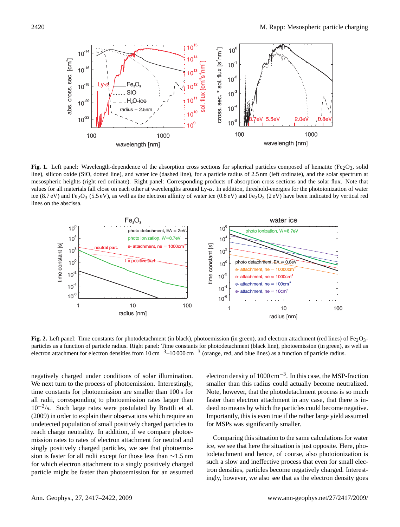

<span id="page-3-0"></span>**Fig. 1.** Left panel: Wavelength-dependence of the absorption cross sections for spherical particles composed of hematite (Fe<sub>2</sub>O<sub>3</sub>, solid line), silicon oxide (SiO, dotted line), and water ice (dashed line), for a particle radius of 2.5 nm (left ordinate), and the solar spectrum at mesospheric heights (right red ordinate). Right panel: Corresponding products of absorption cross sections and the solar flux. Note that values for all materials fall close on each other at wavelengths around  $Ly-\alpha$ . In addition, threshold-energies for the photoionization of water ice (8.7 eV) and Fe<sub>2</sub>O<sub>3</sub> (5.5 eV), as well as the electron affinity of water ice (0.8 eV) and Fe<sub>2</sub>O<sub>3</sub> (2 eV) have been indicated by vertical red lines on the abscissa.



<span id="page-3-1"></span>**Fig. 2.** Left panel: Time constants for photodetachment (in black), photoemission (in green), and electron attachment (red lines) of Fe<sub>2</sub>O<sub>3</sub>particles as a function of particle radius. Right panel: Time constants for photodetachment (black line), photoemission (in green), as well as electron attachment for electron densities from  $10 \text{ cm}^{-3}$ –10 000 cm<sup>−3</sup> (orange, red, and blue lines) as a function of particle radius.

negatively charged under conditions of solar illumination. We next turn to the process of photoemission. Interestingly, time constants for photoemission are smaller than 100 s for all radii, corresponding to photoemission rates larger than 10−<sup>2</sup> /s. Such large rates were postulated by [Brattli et al.](#page-4-8) [\(2009\)](#page-4-8) in order to explain their observations which require an undetected population of small positively charged particles to reach charge neutrality. In addition, if we compare photoemission rates to rates of electron attachment for neutral and singly positively charged particles, we see that photoemission is faster for all radii except for those less than ∼1.5 nm for which electron attachment to a singly positively charged particle might be faster than photoemission for an assumed

electron density of 1000 cm−<sup>3</sup> . In this case, the MSP-fraction smaller than this radius could actually become neutralized. Note, however, that the photodetachment process is so much faster than electron attachment in any case, that there is indeed no means by which the particles could become negative. Importantly, this is even true if the rather large yield assumed for MSPs was significantly smaller.

Comparing this situation to the same calculations for water ice, we see that here the situation is just opposite. Here, photodetachment and hence, of course, also photoionization is such a slow and ineffective process that even for small electron densities, particles become negatively charged. Interestingly, however, we also see that as the electron density goes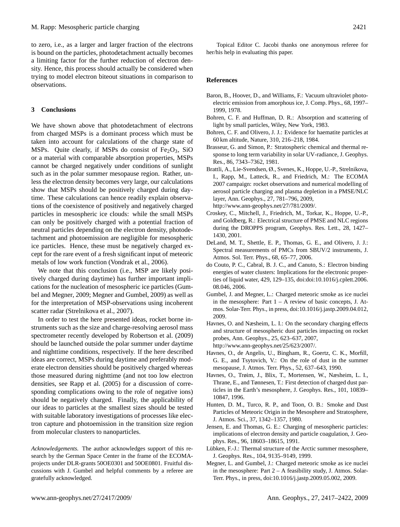to zero, i.e., as a larger and larger fraction of the electrons is bound on the particles, photodetachment actually becomes a limiting factor for the further reduction of electron density. Hence, this process should actually be considered when trying to model electron biteout situations in comparison to observations.

### <span id="page-4-10"></span>**3 Conclusions**

We have shown above that photodetachment of electrons from charged MSPs is a dominant process which must be taken into account for calculations of the charge state of MSPs. Quite clearly, if MSPs do consist of  $Fe<sub>2</sub>O<sub>3</sub>$ , SiO or a material with comparable absorption properties, MSPs cannot be charged negatively under conditions of sunlight such as in the polar summer mesopause region. Rather, unless the electron density becomes very large, our calculations show that MSPs should be positively charged during daytime. These calculations can hence readily explain observations of the coexistence of positively and negatively charged particles in mesospheric ice clouds: while the small MSPs can only be positively charged with a potential fraction of neutral particles depending on the electron density, photodetachment and photoemission are negligible for mesospheric ice particles. Hence, these must be negatively charged except for the rare event of a fresh significant input of meteoric metals of low work function [\(Vondrak et al.,](#page-5-9) [2006\)](#page-5-9).

We note that this conclusion (i.e., MSP are likely positively charged during daytime) has further important implications for the nucleation of mesospheric ice particles [\(Gum](#page-4-16)[bel and Megner,](#page-4-16) [2009;](#page-4-16) [Megner and Gumbel,](#page-4-11) [2009\)](#page-4-11) as well as for the interpretation of MSP-observations using incoherent scatter radar [\(Strelnikova et al.,](#page-5-21) [2007\)](#page-5-21).

In order to test the here presented ideas, rocket borne instruments such as the size and charge-resolving aerosol mass spectrometer recently developed by [Robertson et al.](#page-5-12) [\(2009\)](#page-5-12) should be launched outside the polar summer under daytime and nighttime conditions, respectively. If the here described ideas are correct, MSPs during daytime and preferably moderate electron densities should be positively charged whereas those measured during nighttime (and not too low electron densities, see [Rapp et al.](#page-5-22) [\(2005\)](#page-5-22) for a discussion of corresponding complications owing to the role of negative ions) should be negatively charged. Finally, the applicability of our ideas to particles at the smallest sizes should be tested with suitable laboratory investigations of processes like electron capture and photoemission in the transition size region from molecular clusters to nanoparticles.

*Acknowledgements.* The author acknowledges support of this research by the German Space Center in the frame of the ECOMAprojects under DLR-grants 50OE0301 and 50OE0801. Fruitful discussions with J. Gumbel and helpful comments by a referee are gratefully acknowledged.

Topical Editor C. Jacobi thanks one anonymous referee for her/his help in evaluating this paper.

#### **References**

- <span id="page-4-14"></span>Baron, B., Hoover, D., and Williams, F.: Vacuum ultraviolet photoelectric emission from amorphous ice, J. Comp. Phys., 68, 1997– 1999, 1978.
- <span id="page-4-12"></span>Bohren, C. F. and Huffman, D. R.: Absorption and scattering of light by small particles, Wiley, New York, 1983.
- <span id="page-4-9"></span>Bohren, C. F. and Olivero, J. J.: Evidence for haematite particles at 60 km altitude, Nature, 310, 216–218, 1984.
- <span id="page-4-13"></span>Brasseur, G. and Simon, P.: Stratospheric chemical and thermal response to long term variability in solar UV-radiance, J. Geophys. Res., 86, 7343–7362, 1981.
- <span id="page-4-8"></span>Brattli, A., Lie-Svendsen, Ø., Svenes, K., Hoppe, U.-P., Strelnikova, I., Rapp, M., Latteck, R., and Friedrich, M.: The ECOMA 2007 campaign: rocket observations and numerical modelling of aerosol particle charging and plasma depletion in a PMSE/NLC layer, Ann. Geophys., 27, 781–796, 2009, [http://www.ann-geophys.net/27/781/2009/.](http://www.ann-geophys.net/27/781/2009/)
- <span id="page-4-7"></span>Croskey, C., Mitchell, J., Friedrich, M., Torkar, K., Hoppe, U.-P., and Goldberg, R.: Electrical structure of PMSE and NLC regions during the DROPPS program, Geophys. Res. Lett., 28, 1427– 1430, 2001.
- <span id="page-4-1"></span>DeLand, M. T., Shettle, E. P., Thomas, G. E., and Olivero, J. J.: Spectral measurements of PMCs from SBUV/2 instruments, J. Atmos. Sol. Terr. Phys., 68, 65–77, 2006.
- <span id="page-4-15"></span>do Couto, P. C., Cabral, B. J. C., and Canuto, S.: Electron binding energies of water clusters: Implications for the electronic properties of liquid water, 429, 129–135, doi:doi:10.1016/j.cplett.2006. 08.046, 2006.
- <span id="page-4-16"></span>Gumbel, J. and Megner, L.: Charged meteoric smoke as ice nuclei in the mesosphere: Part 1 – A review of basic concepts, J. Atmos. Solar-Terr. Phys., in press, doi:10.1016/j.jastp.2009.04.012, 2009.
- <span id="page-4-6"></span>Havnes, O. and Næsheim, L. I.: On the secondary charging effects and structure of mesospheric dust particles impacting on rocket probes, Ann. Geophys., 25, 623–637, 2007, [http://www.ann-geophys.net/25/623/2007/.](http://www.ann-geophys.net/25/623/2007/)
- <span id="page-4-4"></span>Havnes, O., de Angelis, U., Bingham, R., Goertz, C. K., Morfill, G. E., and Tsytovich, V.: On the role of dust in the summer mesopause, J. Atmos. Terr. Phys., 52, 637–643, 1990.
- <span id="page-4-5"></span>Havnes, O., Trøim, J., Blix, T., Mortensen, W., Næsheim, L. I., Thrane, E., and Tønnesen, T.: First detection of charged dust particles in the Earth's mesosphere, J. Geophys. Res., 101, 10839– 10847, 1996.
- <span id="page-4-2"></span>Hunten, D. M., Turco, R. P., and Toon, O. B.: Smoke and Dust Particles of Meteoric Origin in the Mesosphere and Stratosphere, J. Atmos. Sci., 37, 1342–1357, 1980.
- <span id="page-4-3"></span>Jensen, E. and Thomas, G. E.: Charging of mesospheric particles: implications of electron density and particle coagulation, J. Geophys. Res., 96, 18603–18615, 1991.
- <span id="page-4-0"></span>Lübken, F.-J.: Thermal structure of the Arctic summer mesosphere, J. Geophys. Res., 104, 9135–9149, 1999.
- <span id="page-4-11"></span>Megner, L. and Gumbel, J.: Charged meteoric smoke as ice nuclei in the mesosphere: Part  $2 - A$  feasibility study, J. Atmos. Solar-Terr. Phys., in press, doi:10.1016/j.jastp.2009.05.002, 2009.